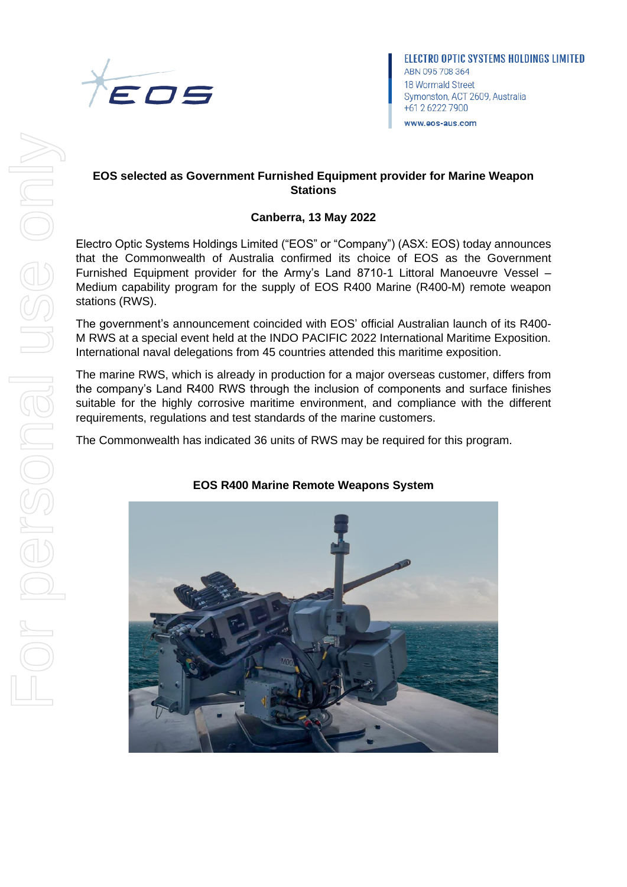

# **EOS selected as Government Furnished Equipment provider for Marine Weapon Stations**

# **Canberra, 13 May 2022**

Electro Optic Systems Holdings Limited ("EOS" or "Company") (ASX: EOS) today announces that the Commonwealth of Australia confirmed its choice of EOS as the Government Furnished Equipment provider for the Army's Land 8710-1 Littoral Manoeuvre Vessel – Medium capability program for the supply of EOS R400 Marine (R400-M) remote weapon stations (RWS).

The government's announcement coincided with EOS' official Australian launch of its R400- M RWS at a special event held at the INDO PACIFIC 2022 International Maritime Exposition. International naval delegations from 45 countries attended this maritime exposition.

The marine RWS, which is already in production for a major overseas customer, differs from the company's Land R400 RWS through the inclusion of components and surface finishes suitable for the highly corrosive maritime environment, and compliance with the different requirements, regulations and test standards of the marine customers.

The Commonwealth has indicated 36 units of RWS may be required for this program.



# **EOS R400 Marine Remote Weapons System**